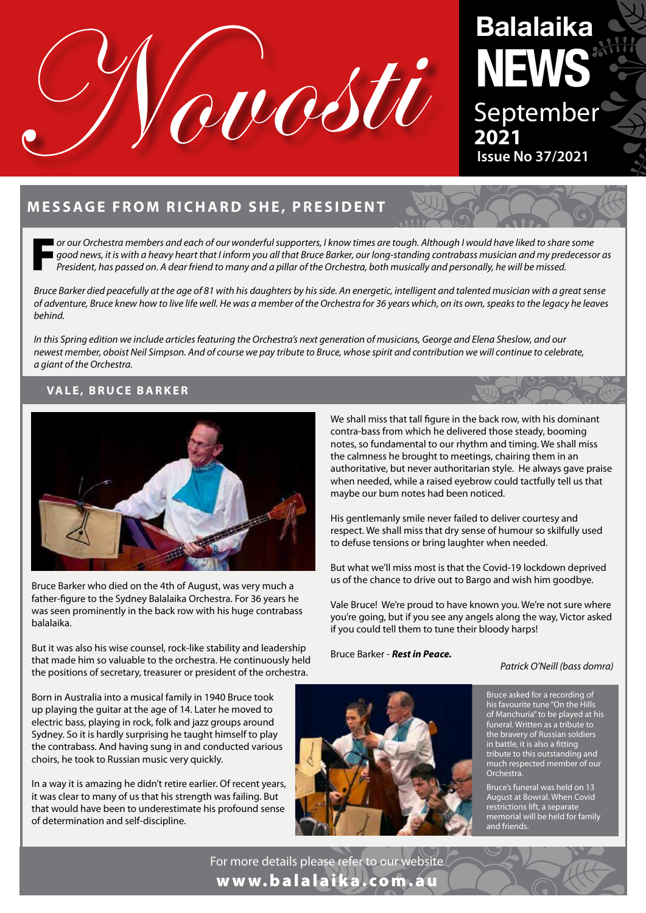

# **Balalaika NEWS** September **2021 Issue No 37/2021**

## **MESSAGE FROM RICHARD SHE, PRESIDENT**

F*or our Orchestra members and each of our wonderful supporters, I know times are tough. Although I would have liked to share some good news, it is with a heavy heart that I inform you all that Bruce Barker, our long-standing contrabass musician and my predecessor as President, has passed on. A dear friend to many and a pillar of the Orchestra, both musically and personally, he will be missed.* 

*Bruce Barker died peacefully at the age of 81 with his daughters by his side. An energetic, intelligent and talented musician with a great sense of adventure, Bruce knew how to live life well. He was a member of the Orchestra for 36 years which, on its own, speaks to the legacy he leaves behind.* 

*In this Spring edition we include articles featuring the Orchestra's next generation of musicians, George and Elena Sheslow, and our newest member, oboist Neil Simpson. And of course we pay tribute to Bruce, whose spirit and contribution we will continue to celebrate, a giant of the Orchestra.* 

#### **VALE, BRUCE BARKER**



Bruce Barker who died on the 4th of August, was very much a father-figure to the Sydney Balalaika Orchestra. For 36 years he was seen prominently in the back row with his huge contrabass balalaika.

But it was also his wise counsel, rock-like stability and leadership that made him so valuable to the orchestra. He continuously held the positions of secretary, treasurer or president of the orchestra.

Born in Australia into a musical family in 1940 Bruce took up playing the guitar at the age of 14. Later he moved to electric bass, playing in rock, folk and jazz groups around Sydney. So it is hardly surprising he taught himself to play the contrabass. And having sung in and conducted various choirs, he took to Russian music very quickly.

In a way it is amazing he didn't retire earlier. Of recent years, it was clear to many of us that his strength was failing. But that would have been to underestimate his profound sense of determination and self-discipline.

We shall miss that tall figure in the back row, with his dominant contra-bass from which he delivered those steady, booming notes, so fundamental to our rhythm and timing. We shall miss the calmness he brought to meetings, chairing them in an authoritative, but never authoritarian style. He always gave praise when needed, while a raised eyebrow could tactfully tell us that maybe our bum notes had been noticed.

His gentlemanly smile never failed to deliver courtesy and respect. We shall miss that dry sense of humour so skilfully used to defuse tensions or bring laughter when needed.

But what we'll miss most is that the Covid-19 lockdown deprived us of the chance to drive out to Bargo and wish him goodbye.

Vale Bruce! We're proud to have known you. We're not sure where you're going, but if you see any angels along the way, Victor asked if you could tell them to tune their bloody harps!

Bruce Barker - *Rest in Peace.*

#### *Patrick O'Neill (bass domra)*



Bruce asked for a recording of his favourite tune "On the Hills of Manchuria" to be played at his funeral. Written as a tribute to the bravery of Russian soldiers in battle, it is also a fitting tribute to this outstanding and much respected member of our Orchestra.

Bruce's funeral was held on 13 August at Bowral. When Covid restrictions lift, a separate memorial will be held for family and friends.

For more details please refer to our website www.balalaika.com.au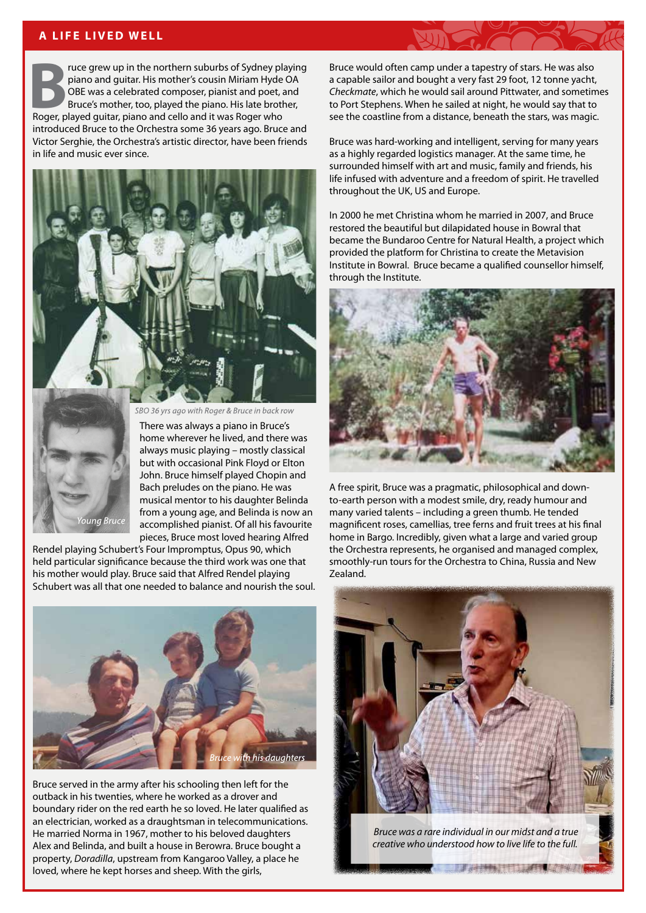#### **A LIFE LIVED WELL**

**Bruce grew up in the northern suburbs of Sydney playing piano and guitar. His mother's cousin Miriam Hyde OA OBE was a celebrated composer, pianist and poet, and Bruce's mother, too, played the piano. His late brother, Ro** piano and guitar. His mother's cousin Miriam Hyde OA OBE was a celebrated composer, pianist and poet, and Bruce's mother, too, played the piano. His late brother, introduced Bruce to the Orchestra some 36 years ago. Bruce and Victor Serghie, the Orchestra's artistic director, have been friends in life and music ever since.





SBO 36 yrs ago with Roger & Bruce in back row

There was always a piano in Bruce's home wherever he lived, and there was always music playing – mostly classical but with occasional Pink Floyd or Elton John. Bruce himself played Chopin and Bach preludes on the piano. He was musical mentor to his daughter Belinda from a young age, and Belinda is now an accomplished pianist. Of all his favourite pieces, Bruce most loved hearing Alfred

Rendel playing Schubert's Four Impromptus, Opus 90, which held particular significance because the third work was one that his mother would play. Bruce said that Alfred Rendel playing Schubert was all that one needed to balance and nourish the soul.



Bruce served in the army after his schooling then left for the outback in his twenties, where he worked as a drover and boundary rider on the red earth he so loved. He later qualified as an electrician, worked as a draughtsman in telecommunications. He married Norma in 1967, mother to his beloved daughters Alex and Belinda, and built a house in Berowra. Bruce bought a property, *Doradilla*, upstream from Kangaroo Valley, a place he loved, where he kept horses and sheep. With the girls,

Bruce would often camp under a tapestry of stars. He was also a capable sailor and bought a very fast 29 foot, 12 tonne yacht, *Checkmate*, which he would sail around Pittwater, and sometimes to Port Stephens. When he sailed at night, he would say that to see the coastline from a distance, beneath the stars, was magic.

Bruce was hard-working and intelligent, serving for many years as a highly regarded logistics manager. At the same time, he surrounded himself with art and music, family and friends, his life infused with adventure and a freedom of spirit. He travelled throughout the UK, US and Europe.

In 2000 he met Christina whom he married in 2007, and Bruce restored the beautiful but dilapidated house in Bowral that became the Bundaroo Centre for Natural Health, a project which provided the platform for Christina to create the Metavision Institute in Bowral. Bruce became a qualified counsellor himself, through the Institute.



A free spirit, Bruce was a pragmatic, philosophical and downto-earth person with a modest smile, dry, ready humour and many varied talents – including a green thumb. He tended magnificent roses, camellias, tree ferns and fruit trees at his final home in Bargo. Incredibly, given what a large and varied group the Orchestra represents, he organised and managed complex, smoothly-run tours for the Orchestra to China, Russia and New Zealand.



 *Bruce was a rare individual in our midst and a true creative who understood how to live life to the full.*

**Communication of the Communication**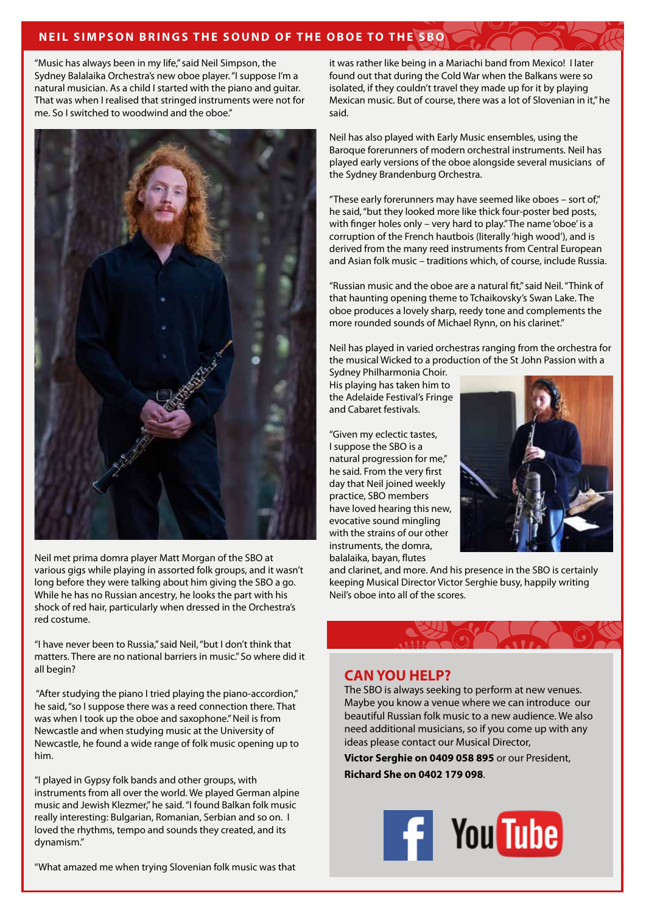### **NEIL SIMPSON BRINGS THE SOUND OF THE OBOE TO THE SBO**

"Music has always been in my life," said Neil Simpson, the Sydney Balalaika Orchestra's new oboe player. "I suppose I'm a natural musician. As a child I started with the piano and guitar. That was when I realised that stringed instruments were not for me. So I switched to woodwind and the oboe."



Neil met prima domra player Matt Morgan of the SBO at various gigs while playing in assorted folk groups, and it wasn't long before they were talking about him giving the SBO a go. While he has no Russian ancestry, he looks the part with his shock of red hair, particularly when dressed in the Orchestra's red costume.

"I have never been to Russia," said Neil, "but I don't think that matters. There are no national barriers in music." So where did it all begin?

 "After studying the piano I tried playing the piano-accordion," he said, "so I suppose there was a reed connection there. That was when I took up the oboe and saxophone." Neil is from Newcastle and when studying music at the University of Newcastle, he found a wide range of folk music opening up to him.

"I played in Gypsy folk bands and other groups, with instruments from all over the world. We played German alpine music and Jewish Klezmer," he said. "I found Balkan folk music really interesting: Bulgarian, Romanian, Serbian and so on. I loved the rhythms, tempo and sounds they created, and its dynamism."

"What amazed me when trying Slovenian folk music was that

it was rather like being in a Mariachi band from Mexico! I later found out that during the Cold War when the Balkans were so isolated, if they couldn't travel they made up for it by playing Mexican music. But of course, there was a lot of Slovenian in it," he said.

Neil has also played with Early Music ensembles, using the Baroque forerunners of modern orchestral instruments. Neil has played early versions of the oboe alongside several musicians of the Sydney Brandenburg Orchestra.

"These early forerunners may have seemed like oboes – sort of," he said, "but they looked more like thick four-poster bed posts, with finger holes only – very hard to play." The name 'oboe' is a corruption of the French hautbois (literally 'high wood'), and is derived from the many reed instruments from Central European and Asian folk music – traditions which, of course, include Russia.

"Russian music and the oboe are a natural fit," said Neil. "Think of that haunting opening theme to Tchaikovsky's Swan Lake. The oboe produces a lovely sharp, reedy tone and complements the more rounded sounds of Michael Rynn, on his clarinet."

Neil has played in varied orchestras ranging from the orchestra for the musical Wicked to a production of the St John Passion with a Sydney Philharmonia Choir.

His playing has taken him to the Adelaide Festival's Fringe and Cabaret festivals.

"Given my eclectic tastes, I suppose the SBO is a natural progression for me," he said. From the very first day that Neil joined weekly practice, SBO members have loved hearing this new, evocative sound mingling with the strains of our other instruments, the domra, balalaika, bayan, flutes



and clarinet, and more. And his presence in the SBO is certainly keeping Musical Director Victor Serghie busy, happily writing Neil's oboe into all of the scores.

## **CAN YOU HELP?**

The SBO is always seeking to perform at new venues. Maybe you know a venue where we can introduce our beautiful Russian folk music to a new audience. We also need additional musicians, so if you come up with any ideas please contact our Musical Director,

**Victor Serghie on 0409 058 895** or our President, **Richard She on 0402 179 098**.